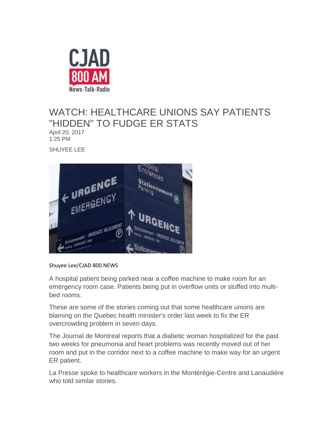

## WATCH: HEALTHCARE UNIONS SAY PATIENTS "HIDDEN" TO FUDGE ER STATS

April 20, 201[7](http://www.iheartradio.ca/Author/Author/Shuyee%20Lee) 1:25 PM

SHUYEE LEE



Shuyee Lee/CJAD 800 NEWS

A hospital patient being parked near a coffee machine to make room for an emergency room case. Patients being put in overflow units or stuffed into multibed rooms.

These are some of the stories coming out that some healthcare unions are blaming on the Quebec health minister's order last week to fix the ER overcrowding problem in seven days.

The Journal de Montreal reports that a diabetic woman hospitalized for the past two weeks for pneumonia and heart problems was recently moved out of her room and put in the corridor next to a coffee machine to make way for an urgent ER patient.

La Presse spoke to healthcare workers in the Montérégie-Centre and Lanaudière who told similar stories.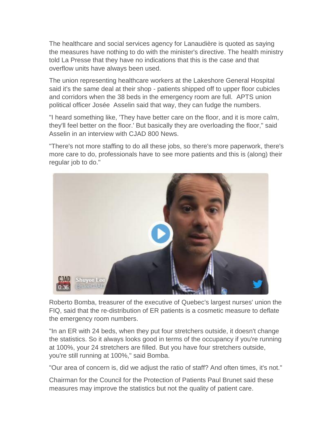The healthcare and social services agency for Lanaudière is quoted as saying the measures have nothing to do with the minister's directive. The health ministry told La Presse that they have no indications that this is the case and that overflow units have always been used.

The union representing healthcare workers at the Lakeshore General Hospital said it's the same deal at their shop - patients shipped off to upper floor cubicles and corridors when the 38 beds in the emergency room are full. APTS union political officer Josée Asselin said that way, they can fudge the numbers.

"I heard something like, 'They have better care on the floor, and it is more calm, they'll feel better on the floor.' But basically they are overloading the floor," said Asselin in an interview with CJAD 800 News.

"There's not more staffing to do all these jobs, so there's more paperwork, there's more care to do, professionals have to see more patients and this is (along) their regular job to do."



Roberto Bomba, treasurer of the executive of Quebec's largest nurses' union the FIQ, said that the re-distribution of ER patients is a cosmetic measure to deflate the emergency room numbers.

"In an ER with 24 beds, when they put four stretchers outside, it doesn't change the statistics. So it always looks good in terms of the occupancy if you're running at 100%, your 24 stretchers are filled. But you have four stretchers outside, you're still running at 100%," said Bomba.

"Our area of concern is, did we adjust the ratio of staff? And often times, it's not."

Chairman for the Council for the Protection of Patients Paul Brunet said these measures may improve the statistics but not the quality of patient care.